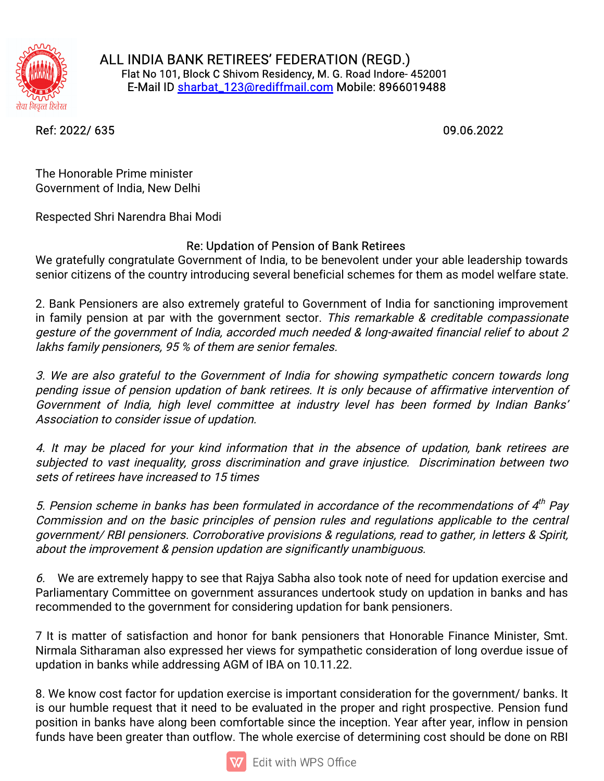

ALL INDIA BANK RETIREES' FEDERATION (REGD.) Flat No 101, Block C Shivom Residency, M. G. Road Indore- 452001 E-Mail ID sharbat\_123@rediffmail.com Mobile: 8966019488

Ref:2022/635 09.06.2022

The Honorable Prime minister Government of India, New Delhi

Respected Shri Narendra Bhai Modi

## Re: Updation of Pension of Bank Retirees

We gratefully congratulate Government of India, to be benevolent under your able leadership towards senior citizens of the country introducing several beneficial schemes for them as model welfare state.

2. Bank Pensioners are also extremely grateful to Government of India for sanctioning improvement in family pension at par with the government sector. This remarkable & creditable compassionate gesture of the government of India, accorded much needed & long-awaited financial relief to about 2 lakhs family pensioners, 95 % of them are senior females.

3. We are also grateful to the Government of India for showing sympathetic concern towards long pending issue of pension updation of bank retirees. It is only because of affirmative intervention of Government of India, high level committee at industry level has been formed by Indian Banks' Association to consider issue of updation.

4. It may be placed for your kind information that in the absence of updation, bank retirees are subjected to vast inequality, gross discrimination and grave injustice. Discrimination between two sets of retirees have increased to 15 times

5. Pension scheme in banks has been formulated in accordance of the recommendations of  $4^{th}$  Pay Commission and on the basic principles of pension rules and regulations applicable to the central government/RBI pensioners. Corroborative provisions & regulations, read to gather, in letters & Spirit, about the improvement & pension updation are significantly unambiguous.

6. We are extremely happy to see that Rajya Sabha also took note of need for updation exercise and Parliamentary Committee on government assurances undertook study on updation in banks and has recommended to the government for considering updation for bank pensioners.

7 It is matter of satisfaction and honor for bank pensioners that Honorable Finance Minister, Smt. Nirmala Sitharaman also expressed her views for sympathetic consideration of long overdue issue of updation in banks while addressing AGM of IBA on 10.11.22.

8. We know cost factor for updation exercise is important consideration for the government/ banks. It is our humble request that it need to be evaluated in the proper and right prospective. Pension fund position in banks have along been comfortable since the inception. Year after year, inflow in pension funds have been greater than outflow. The whole exercise of determining cost should be done on RBI

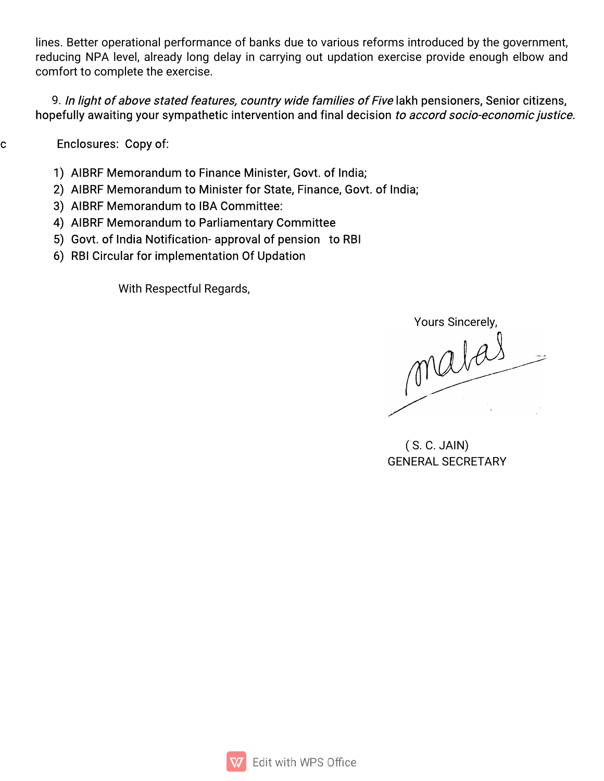lines. Better operational performance of banks due to various reforms introduced by the government, reducing NPA level, already long delay in carrying out updation exercise provide enough elbow and comfort to complete the exercise.

## 9. In light of above stated features, country wide families of Five lakh pensioners, Senior citizens, hopefully awaiting your sympathetic intervention and final decision to accord socio-economic justice.

**Enclosures: Copy of:** 

Ċ

- 1) AIBRF Memorandum to Finance Minister, Govt. of India;
- 2) AIBRF Memorandum to Minister for State, Finance, Govt. of India;
- 3) AIBRF Memorandum to IBA Committee:
- 4) AIBRF Memorandum to Parliamentary Committee
- 5) Govt. of India Notification- approval of pension to RBI
- 6) RBI Circular for implementation Of Updation

With Respectful Regards,

matais

 $(S. C. JAIN)$ **GENERAL SECRETARY**